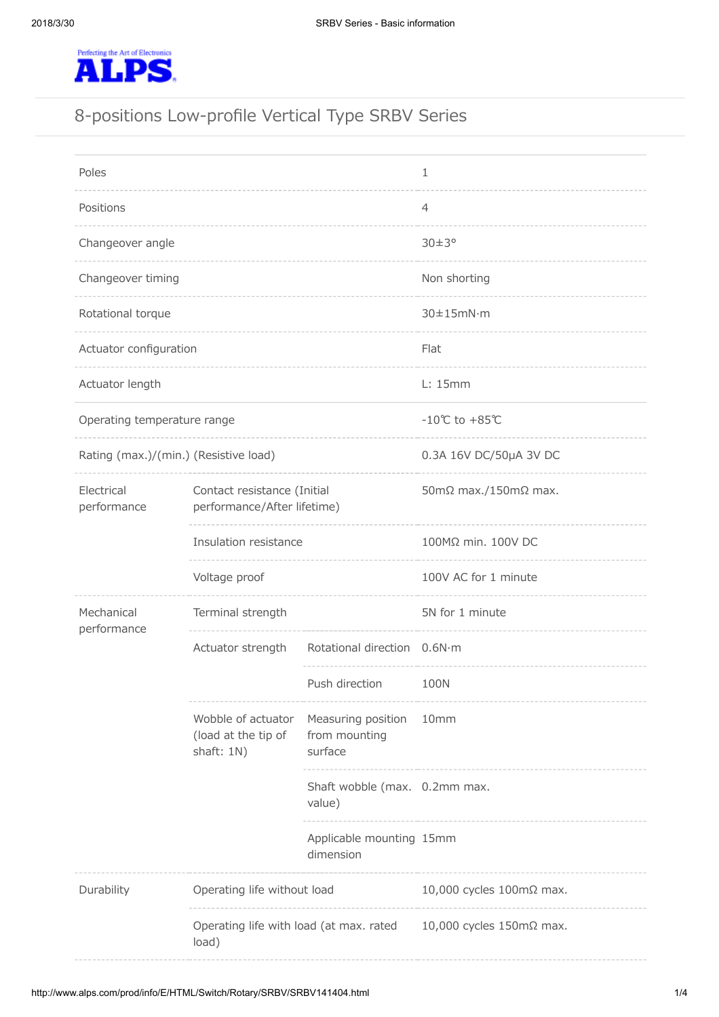

# 8-positions Low-profile Vertical Type SRBV Series

| Poles                                 |                                                                                     |                                                     | 1                                    |
|---------------------------------------|-------------------------------------------------------------------------------------|-----------------------------------------------------|--------------------------------------|
| Positions                             |                                                                                     |                                                     | 4                                    |
| Changeover angle                      |                                                                                     |                                                     | $30\pm3^{\circ}$                     |
| Changeover timing                     |                                                                                     |                                                     | Non shorting                         |
| Rotational torque                     |                                                                                     |                                                     | $30\pm15$ mN·m                       |
| Actuator configuration                |                                                                                     |                                                     | Flat                                 |
| Actuator length                       |                                                                                     |                                                     | L: 15mm                              |
| Operating temperature range           |                                                                                     |                                                     | $-10^{\circ}$ C to +85 $^{\circ}$ C  |
| Rating (max.)/(min.) (Resistive load) |                                                                                     |                                                     | 0.3A 16V DC/50µA 3V DC               |
| Electrical<br>performance             | Contact resistance (Initial<br>performance/After lifetime)                          |                                                     | 50m $\Omega$ max./150m $\Omega$ max. |
|                                       | Insulation resistance                                                               |                                                     | 100MΩ min. 100V DC                   |
|                                       | Voltage proof                                                                       |                                                     | 100V AC for 1 minute                 |
| Mechanical<br>performance             | Terminal strength                                                                   |                                                     | 5N for 1 minute                      |
|                                       | Actuator strength                                                                   | Rotational direction 0.6N·m                         |                                      |
|                                       |                                                                                     | Push direction                                      | 100N                                 |
|                                       | Wobble of actuator<br>(load at the tip of<br>shaft: 1N)                             | Measuring position 10mm<br>from mounting<br>surface |                                      |
|                                       |                                                                                     | Shaft wobble (max. 0.2mm max.<br>value)             |                                      |
|                                       |                                                                                     | Applicable mounting 15mm<br>dimension               |                                      |
| Durability                            | Operating life without load                                                         |                                                     | 10,000 cycles 100mΩ max.             |
|                                       | Operating life with load (at max. rated $10,000$ cycles 150m $\Omega$ max.<br>load) |                                                     |                                      |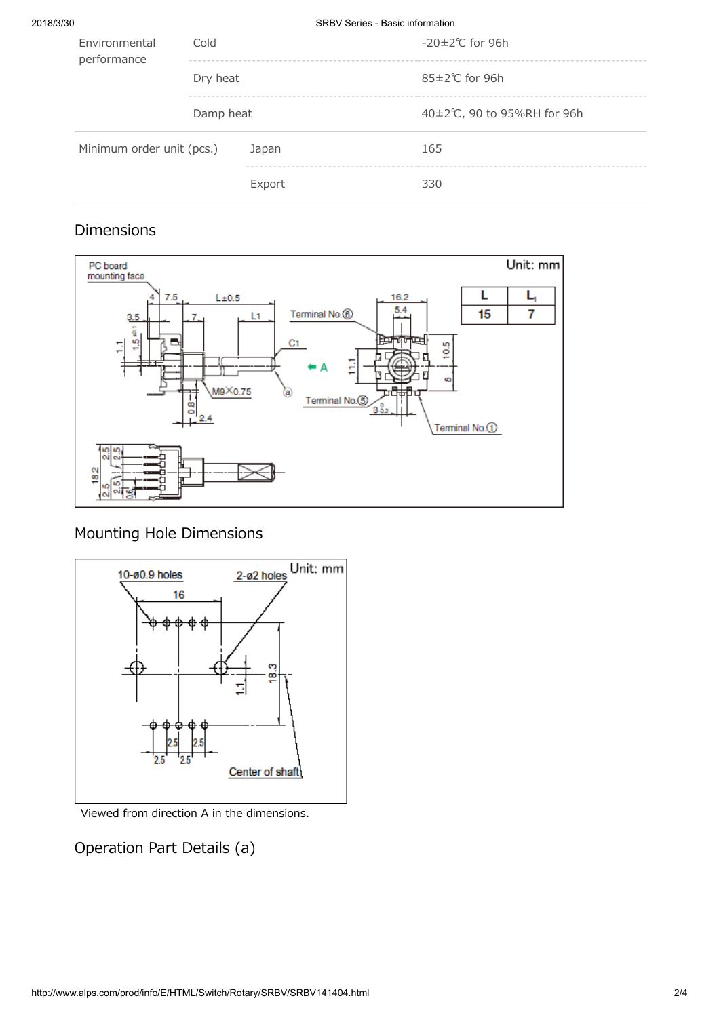2018/3/30 SRBV Series - Basic information

| Environmental<br>performance | Cold      |        | $-20\pm2\degree$ C for 96h |
|------------------------------|-----------|--------|----------------------------|
|                              | Dry heat  |        | $85\pm2\degree$ C for 96h  |
|                              | Damp heat |        | 40±2℃, 90 to 95%RH for 96h |
| Minimum order unit (pcs.)    |           | Japan  | 165                        |
|                              |           | Export | 330                        |

### Dimensions



Mounting Hole Dimensions



Viewed from direction A in the dimensions.

## Operation Part Details (a)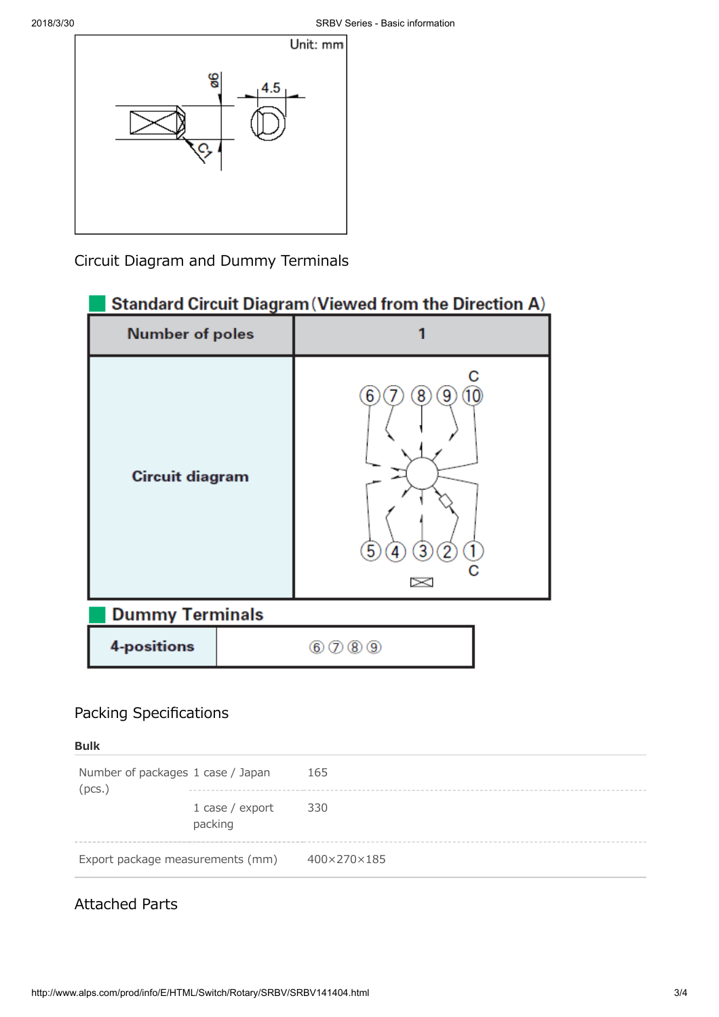

Circuit Diagram and Dummy Terminals



## Packing Specifications

Bulk

Number of packages (pcs.) 1 case / Japan 165 1 case / export packing 330 Export package measurements (mm) 400×270×185

## Attached Parts